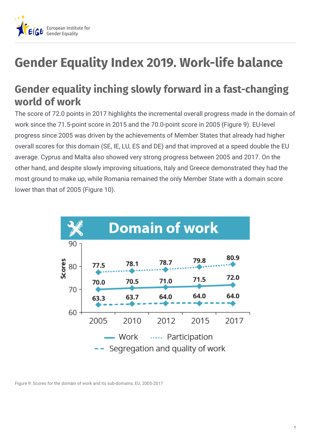

## **Gender Equality Index 2019. Work-life balance**

## **Gender equality inching slowly forward in a fast-changing world of work**

The score of 72.0 points in 2017 highlights the incremental overall progress made in the domain of work since the 71.5-point score in 2015 and the 70.0-point score in 2005 (Figure 9). EU-level progress since 2005 was driven by the achievements of Member States that already had higher overall scores for this domain (SE, IE, LU, ES and DE) and that improved at a speed double the EU average. Cyprus and Malta also showed very strong progress between 2005 and 2017. On the other hand, and despite slowly improving situations, Italy and Greece demonstrated they had the most ground to make up, while Romania remained the only Member State with a domain score lower than that of 2005 (Figure 10).



Figure 9: Scores for the domain of work and its sub-domains, EU, 2005-2017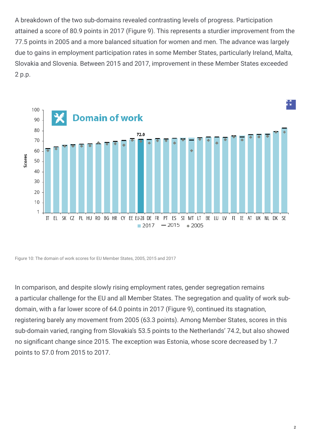A breakdown of the two sub-domains revealed contrasting levels of progress. Participation attained a score of 80.9 points in 2017 (Figure 9). This represents a sturdier improvement from the 77.5 points in 2005 and a more balanced situation for women and men. The advance was largely due to gains in employment participation rates in some Member States, particularly Ireland, Malta, Slovakia and Slovenia. Between 2015 and 2017, improvement in these Member States exceeded 2 p.p.



Figure 10: The domain of work scores for EU Member States, 2005, 2015 and 2017

In comparison, and despite slowly rising employment rates, gender segregation remains a particular challenge for the EU and all Member States. The segregation and quality of work subdomain, with a far lower score of 64.0 points in 2017 (Figure 9), continued its stagnation, registering barely any movement from 2005 (63.3 points). Among Member States, scores in this sub-domain varied, ranging from Slovakia's 53.5 points to the Netherlands' 74.2, but also showed no significant change since 2015. The exception was Estonia, whose score decreased by 1.7 points to 57.0 from 2015 to 2017.